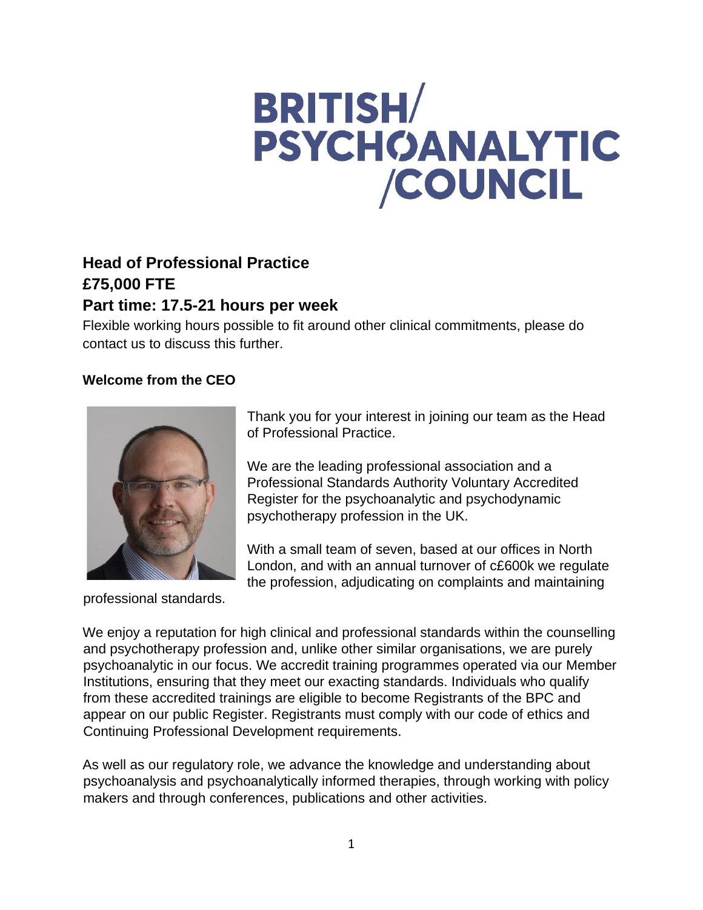# **BRITISH/ PSYCHOANALYTIC** /COUNCIL

# **Head of Professional Practice £75,000 FTE**

# **Part time: 17.5-21 hours per week**

Flexible working hours possible to fit around other clinical commitments, please do contact us to discuss this further.

# **Welcome from the CEO**



professional standards.

Thank you for your interest in joining our team as the Head of Professional Practice.

We are the leading professional association and a Professional Standards Authority Voluntary Accredited Register for the psychoanalytic and psychodynamic psychotherapy profession in the UK.

With a small team of seven, based at our offices in North London, and with an annual turnover of c£600k we regulate the profession, adjudicating on complaints and maintaining

We enjoy a reputation for high clinical and professional standards within the counselling and psychotherapy profession and, unlike other similar organisations, we are purely psychoanalytic in our focus. We accredit training programmes operated via our Member Institutions, ensuring that they meet our exacting standards. Individuals who qualify from these accredited trainings are eligible to become Registrants of the BPC and appear on our public Register. Registrants must comply with our code of ethics and Continuing Professional Development requirements.

As well as our regulatory role, we advance the knowledge and understanding about psychoanalysis and psychoanalytically informed therapies, through working with policy makers and through conferences, publications and other activities.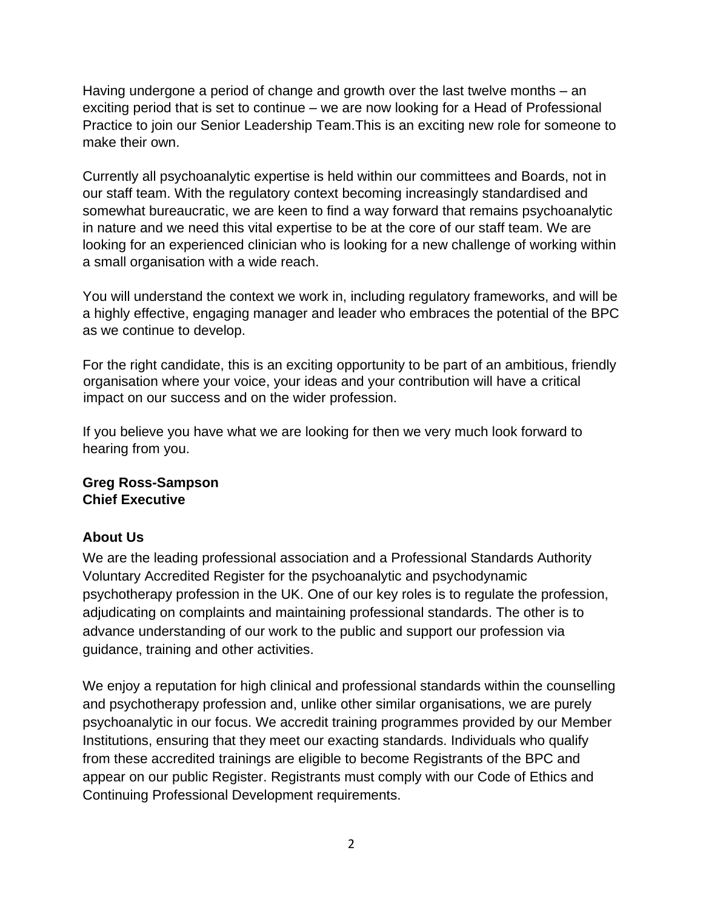Having undergone a period of change and growth over the last twelve months – an exciting period that is set to continue – we are now looking for a Head of Professional Practice to join our Senior Leadership Team.This is an exciting new role for someone to make their own.

Currently all psychoanalytic expertise is held within our committees and Boards, not in our staff team. With the regulatory context becoming increasingly standardised and somewhat bureaucratic, we are keen to find a way forward that remains psychoanalytic in nature and we need this vital expertise to be at the core of our staff team. We are looking for an experienced clinician who is looking for a new challenge of working within a small organisation with a wide reach.

You will understand the context we work in, including regulatory frameworks, and will be a highly effective, engaging manager and leader who embraces the potential of the BPC as we continue to develop.

For the right candidate, this is an exciting opportunity to be part of an ambitious, friendly organisation where your voice, your ideas and your contribution will have a critical impact on our success and on the wider profession.

If you believe you have what we are looking for then we very much look forward to hearing from you.

# **Greg Ross-Sampson Chief Executive**

# **About Us**

We are the leading professional association and a Professional Standards Authority Voluntary Accredited Register for the psychoanalytic and psychodynamic psychotherapy profession in the UK. One of our key roles is to regulate the profession, adjudicating on complaints and maintaining professional standards. The other is to advance understanding of our work to the public and support our profession via guidance, training and other activities.

We enjoy a reputation for high clinical and professional standards within the counselling and psychotherapy profession and, unlike other similar organisations, we are purely psychoanalytic in our focus. We accredit training programmes provided by our Member Institutions, ensuring that they meet our exacting standards. Individuals who qualify from these accredited trainings are eligible to become Registrants of the BPC and appear on our public Register. Registrants must comply with our Code of Ethics and Continuing Professional Development requirements.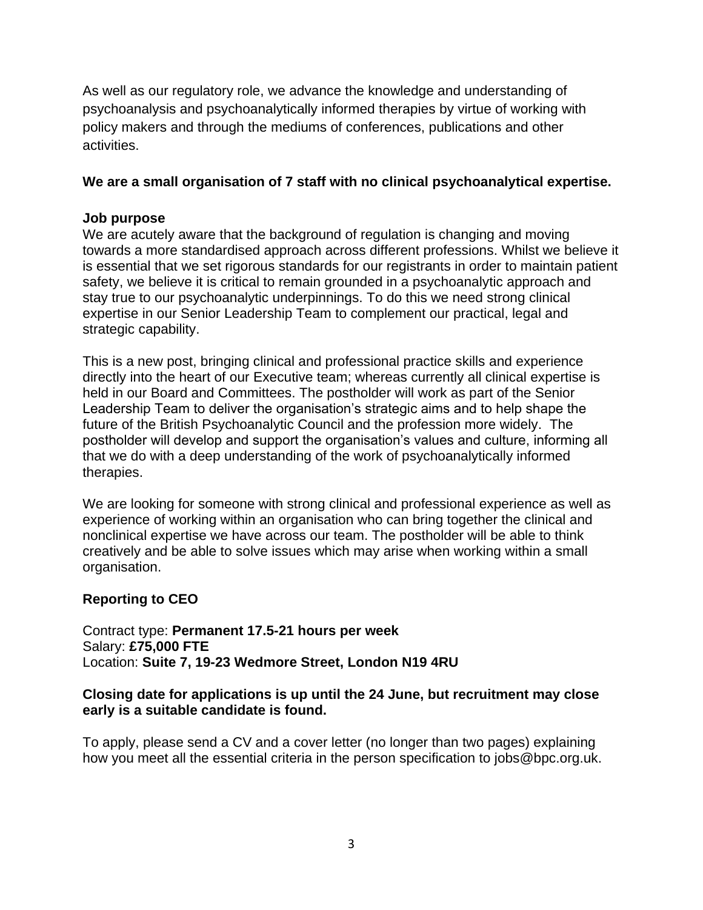As well as our regulatory role, we advance the knowledge and understanding of psychoanalysis and psychoanalytically informed therapies by virtue of working with policy makers and through the mediums of conferences, publications and other activities.

#### **We are a small organisation of 7 staff with no clinical psychoanalytical expertise.**

#### **Job purpose**

We are acutely aware that the background of regulation is changing and moving towards a more standardised approach across different professions. Whilst we believe it is essential that we set rigorous standards for our registrants in order to maintain patient safety, we believe it is critical to remain grounded in a psychoanalytic approach and stay true to our psychoanalytic underpinnings. To do this we need strong clinical expertise in our Senior Leadership Team to complement our practical, legal and strategic capability.

This is a new post, bringing clinical and professional practice skills and experience directly into the heart of our Executive team; whereas currently all clinical expertise is held in our Board and Committees. The postholder will work as part of the Senior Leadership Team to deliver the organisation's strategic aims and to help shape the future of the British Psychoanalytic Council and the profession more widely. The postholder will develop and support the organisation's values and culture, informing all that we do with a deep understanding of the work of psychoanalytically informed therapies.

We are looking for someone with strong clinical and professional experience as well as experience of working within an organisation who can bring together the clinical and nonclinical expertise we have across our team. The postholder will be able to think creatively and be able to solve issues which may arise when working within a small organisation.

# **Reporting to CEO**

Contract type: **Permanent 17.5-21 hours per week** Salary: **£75,000 FTE** Location: **Suite 7, 19-23 Wedmore Street, London N19 4RU** 

#### **Closing date for applications is up until the 24 June, but recruitment may close early is a suitable candidate is found.**

To apply, please send a CV and a cover letter (no longer than two pages) explaining how you meet all the essential criteria in the person specification to [jobs@bpc.org.uk.](mailto:jobs@bpc.org.uk)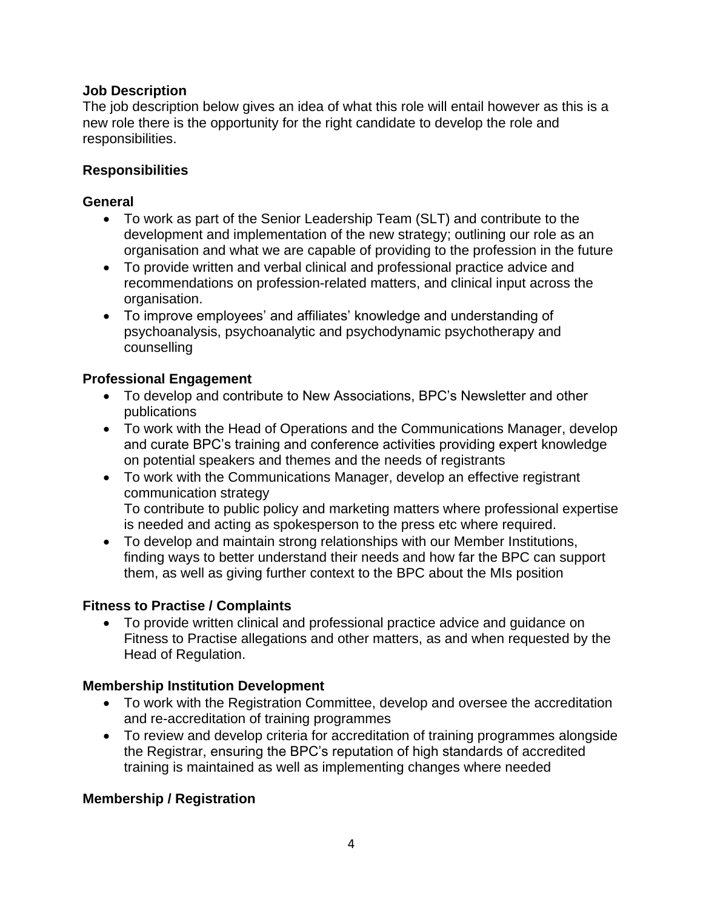#### **Job Description**

The job description below gives an idea of what this role will entail however as this is a new role there is the opportunity for the right candidate to develop the role and responsibilities.

#### **Responsibilities**

#### **General**

- To work as part of the Senior Leadership Team (SLT) and contribute to the development and implementation of the new strategy; outlining our role as an organisation and what we are capable of providing to the profession in the future
- To provide written and verbal clinical and professional practice advice and recommendations on profession-related matters, and clinical input across the organisation.
- To improve employees' and affiliates' knowledge and understanding of psychoanalysis, psychoanalytic and psychodynamic psychotherapy and counselling

# **Professional Engagement**

- To develop and contribute to New Associations, BPC's Newsletter and other publications
- To work with the Head of Operations and the Communications Manager, develop and curate BPC's training and conference activities providing expert knowledge on potential speakers and themes and the needs of registrants
- To work with the Communications Manager, develop an effective registrant communication strategy To contribute to public policy and marketing matters where professional expertise is needed and acting as spokesperson to the press etc where required.
- To develop and maintain strong relationships with our Member Institutions, finding ways to better understand their needs and how far the BPC can support them, as well as giving further context to the BPC about the MIs position

# **Fitness to Practise / Complaints**

• To provide written clinical and professional practice advice and guidance on Fitness to Practise allegations and other matters, as and when requested by the Head of Regulation.

# **Membership Institution Development**

- To work with the Registration Committee, develop and oversee the accreditation and re-accreditation of training programmes
- To review and develop criteria for accreditation of training programmes alongside the Registrar, ensuring the BPC's reputation of high standards of accredited training is maintained as well as implementing changes where needed

# **Membership / Registration**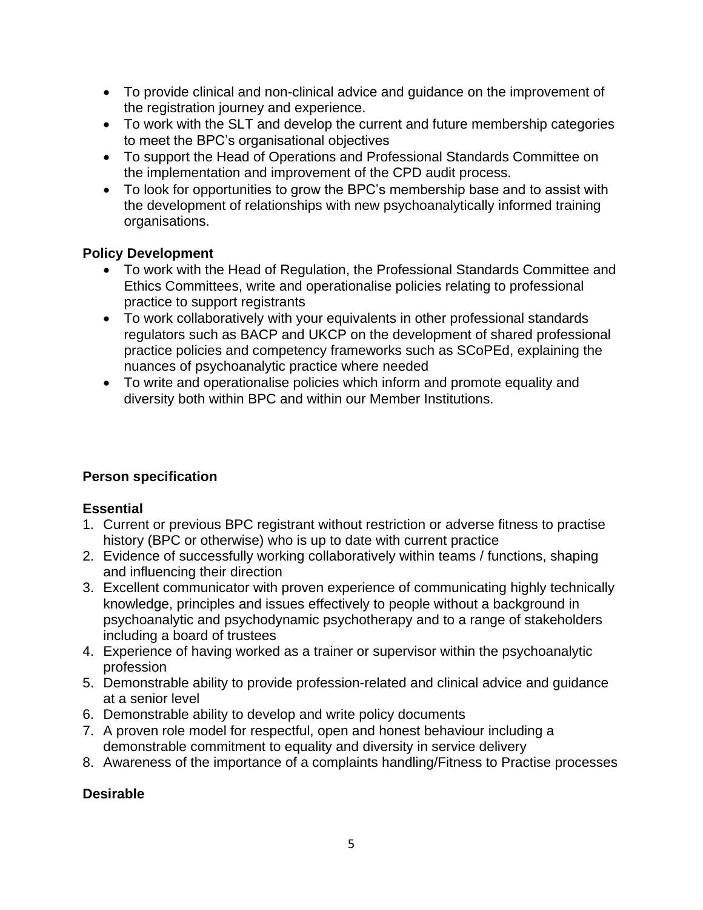- To provide clinical and non-clinical advice and guidance on the improvement of the registration journey and experience.
- To work with the SLT and develop the current and future membership categories to meet the BPC's organisational objectives
- To support the Head of Operations and Professional Standards Committee on the implementation and improvement of the CPD audit process.
- To look for opportunities to grow the BPC's membership base and to assist with the development of relationships with new psychoanalytically informed training organisations.

# **Policy Development**

- To work with the Head of Regulation, the Professional Standards Committee and Ethics Committees, write and operationalise policies relating to professional practice to support registrants
- To work collaboratively with your equivalents in other professional standards regulators such as BACP and UKCP on the development of shared professional practice policies and competency frameworks such as SCoPEd, explaining the nuances of psychoanalytic practice where needed
- To write and operationalise policies which inform and promote equality and diversity both within BPC and within our Member Institutions.

# **Person specification**

# **Essential**

- 1. Current or previous BPC registrant without restriction or adverse fitness to practise history (BPC or otherwise) who is up to date with current practice
- 2. Evidence of successfully working collaboratively within teams / functions, shaping and influencing their direction
- 3. Excellent communicator with proven experience of communicating highly technically knowledge, principles and issues effectively to people without a background in psychoanalytic and psychodynamic psychotherapy and to a range of stakeholders including a board of trustees
- 4. Experience of having worked as a trainer or supervisor within the psychoanalytic profession
- 5. Demonstrable ability to provide profession-related and clinical advice and guidance at a senior level
- 6. Demonstrable ability to develop and write policy documents
- 7. A proven role model for respectful, open and honest behaviour including a demonstrable commitment to equality and diversity in service delivery
- 8. Awareness of the importance of a complaints handling/Fitness to Practise processes

# **Desirable**